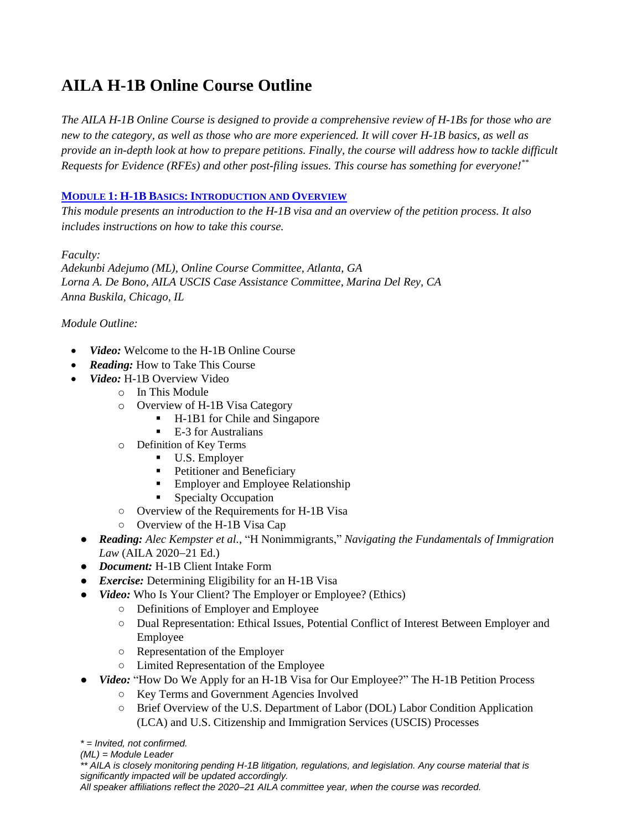# **AILA H-1B Online Course Outline**

*The AILA H-1B Online Course is designed to provide a comprehensive review of H-1Bs for those who are new to the category, as well as those who are more experienced. It will cover H-1B basics, as well as provide an in-depth look at how to prepare petitions. Finally, the course will address how to tackle difficult Requests for Evidence (RFEs) and other post-filing issues. This course has something for everyone!\*\**

### **MODULE 1: H-1B BASICS: INTRODUCTION AND OVERVIEW**

*This module presents an introduction to the H-1B visa and an overview of the petition process. It also includes instructions on how to take this course.*

*Faculty:*

*Adekunbi Adejumo (ML), Online Course Committee, Atlanta, GA Lorna A. De Bono, AILA USCIS Case Assistance Committee, Marina Del Rey, CA Anna Buskila, Chicago, IL*

*Module Outline:*

- *Video:* Welcome to the H-1B Online Course
- *Reading:* How to Take This Course
- *Video:* H-1B Overview Video
	- o In This Module
	- o Overview of H-1B Visa Category
		- H-1B1 for Chile and Singapore
		- E-3 for Australians
	- o Definition of Key Terms
		- U.S. Employer
		- **•** Petitioner and Beneficiary
		- **Employer and Employee Relationship**
		- Specialty Occupation
	- Overview of the Requirements for H-1B Visa
	- Overview of the H-1B Visa Cap
	- *Reading: Alec Kempster et al.*, "H Nonimmigrants," *Navigating the Fundamentals of Immigration Law* (AILA 2020−21 Ed.)
	- *Document:* H-1B Client Intake Form
	- *Exercise:* Determining Eligibility for an H-1B Visa
	- *Video:* Who Is Your Client? The Employer or Employee? (Ethics)
		- Definitions of Employer and Employee
		- Dual Representation: Ethical Issues, Potential Conflict of Interest Between Employer and Employee
		- Representation of the Employer
		- Limited Representation of the Employee
	- *Video:* "How Do We Apply for an H-1B Visa for Our Employee?" The H-1B Petition Process
		- Key Terms and Government Agencies Involved
		- Brief Overview of the U.S. Department of Labor (DOL) Labor Condition Application (LCA) and U.S. Citizenship and Immigration Services (USCIS) Processes
	- *\* = Invited, not confirmed.*
	- *(ML) = Module Leader*

*\*\* AILA is closely monitoring pending H-1B litigation, regulations, and legislation. Any course material that is significantly impacted will be updated accordingly.*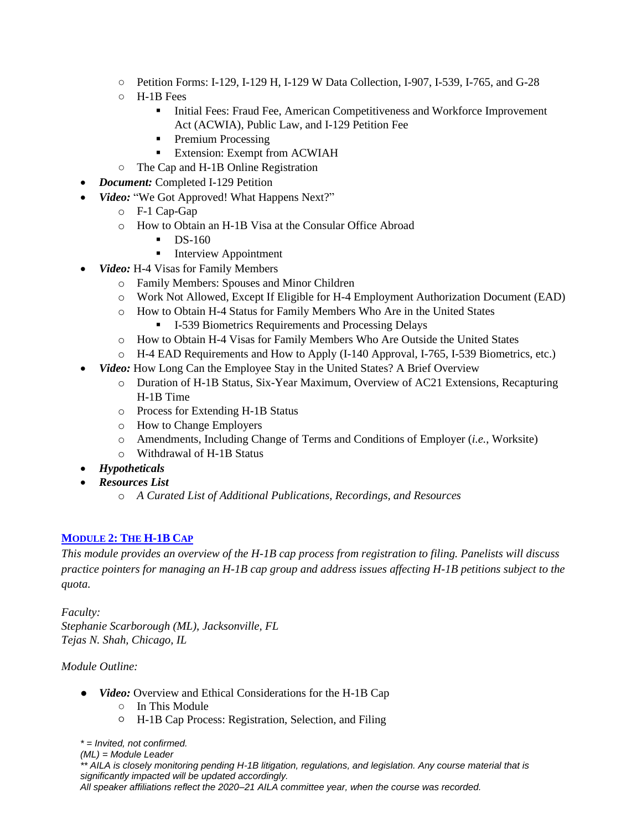- Petition Forms: I-129, I-129 H, I-129 W Data Collection, I-907, I-539, I-765, and G-28
- H-1B Fees
	- **•** Initial Fees: Fraud Fee, American Competitiveness and Workforce Improvement Act (ACWIA), Public Law, and I-129 Petition Fee
	- Premium Processing
	- Extension: Exempt from ACWIAH
- The Cap and H-1B Online Registration
- *Document:* Completed I-129 Petition
- *Video:* "We Got Approved! What Happens Next?"
	- o F-1 Cap-Gap
	- o How to Obtain an H-1B Visa at the Consular Office Abroad
		- $\blacksquare$  DS-160
		- Interview Appointment
- *Video:* H-4 Visas for Family Members
	- o Family Members: Spouses and Minor Children
	- o Work Not Allowed, Except If Eligible for H-4 Employment Authorization Document (EAD)
	- o How to Obtain H-4 Status for Family Members Who Are in the United States ■ I-539 Biometrics Requirements and Processing Delays
	- o How to Obtain H-4 Visas for Family Members Who Are Outside the United States
	- o H-4 EAD Requirements and How to Apply (I-140 Approval, I-765, I-539 Biometrics, etc.)
- *Video:* How Long Can the Employee Stay in the United States? A Brief Overview
	- o Duration of H-1B Status, Six-Year Maximum, Overview of AC21 Extensions, Recapturing H-1B Time
	- o Process for Extending H-1B Status
	- o How to Change Employers
	- o Amendments, Including Change of Terms and Conditions of Employer (*i.e.*, Worksite)
	- o Withdrawal of H-1B Status
- *Hypotheticals*
- *Resources List*
	- o *A Curated List of Additional Publications, Recordings, and Resources*

### **MODULE 2: THE H-1B CAP**

*This module provides an overview of the H-1B cap process from registration to filing. Panelists will discuss practice pointers for managing an H-1B cap group and address issues affecting H-1B petitions subject to the quota.*

*Faculty: Stephanie Scarborough (ML), Jacksonville, FL Tejas N. Shah, Chicago, IL*

### *Module Outline:*

- *Video:* Overview and Ethical Considerations for the H-1B Cap
	- In This Module
	- H-1B Cap Process: Registration, Selection, and Filing

*\* = Invited, not confirmed.*

*(ML) = Module Leader*

*\*\* AILA is closely monitoring pending H-1B litigation, regulations, and legislation. Any course material that is significantly impacted will be updated accordingly.*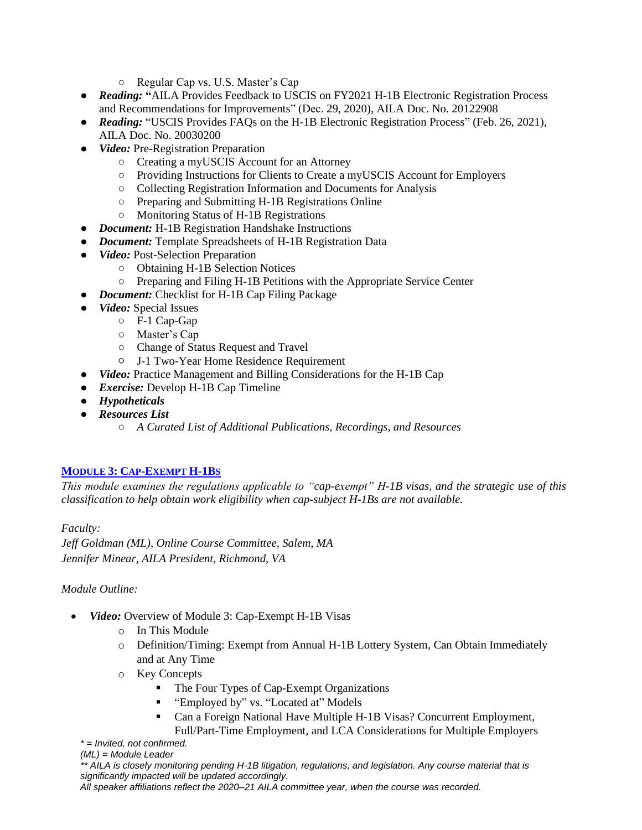- Regular Cap vs. U.S. Master's Cap
- *Reading:* **"**AILA Provides Feedback to USCIS on FY2021 H-1B Electronic Registration Process and Recommendations for Improvements" (Dec. 29, 2020), AILA Doc. No. 20122908
- *Reading:* "USCIS Provides FAQs on the H-1B Electronic Registration Process" (Feb. 26, 2021), AILA Doc. No. 20030200
- *Video:* Pre-Registration Preparation
	- Creating a myUSCIS Account for an Attorney
	- Providing Instructions for Clients to Create a myUSCIS Account for Employers
	- Collecting Registration Information and Documents for Analysis
	- Preparing and Submitting H-1B Registrations Online
	- Monitoring Status of H-1B Registrations
- *Document:* H-1B Registration Handshake Instructions
- *Document:* Template Spreadsheets of H-1B Registration Data
- *Video:* Post-Selection Preparation
	- Obtaining H-1B Selection Notices
	- Preparing and Filing H-1B Petitions with the Appropriate Service Center
- *Document:* Checklist for H-1B Cap Filing Package
- *Video:* Special Issues
	- F-1 Cap-Gap
		- Master's Cap
		- Change of Status Request and Travel
		- J-1 Two-Year Home Residence Requirement
- *Video:* Practice Management and Billing Considerations for the H-1B Cap
- *Exercise:* Develop H-1B Cap Timeline
- *Hypotheticals*
- *Resources List*
	- *A Curated List of Additional Publications, Recordings, and Resources*

### **MODULE 3: CAP-EXEMPT H-1BS**

*This module examines the regulations applicable to "cap-exempt" H-1B visas, and the strategic use of this classification to help obtain work eligibility when cap-subject H-1Bs are not available.*

*Faculty: Jeff Goldman (ML), Online Course Committee, Salem, MA Jennifer Minear, AILA President, Richmond, VA*

### *Module Outline:*

- *Video:* Overview of Module 3: Cap-Exempt H-1B Visas
	- o In This Module
	- o Definition/Timing: Exempt from Annual H-1B Lottery System, Can Obtain Immediately and at Any Time
	- o Key Concepts
		- The Four Types of Cap-Exempt Organizations
		- "Employed by" vs. "Located at" Models
		- Can a Foreign National Have Multiple H-1B Visas? Concurrent Employment,
	- *\* = Invited, not confirmed.* Full/Part-Time Employment, and LCA Considerations for Multiple Employers
	- *(ML) = Module Leader*

*\*\* AILA is closely monitoring pending H-1B litigation, regulations, and legislation. Any course material that is significantly impacted will be updated accordingly.*

```
All speaker affiliations reflect the 2020–21 AILA committee year, when the course was recorded.
```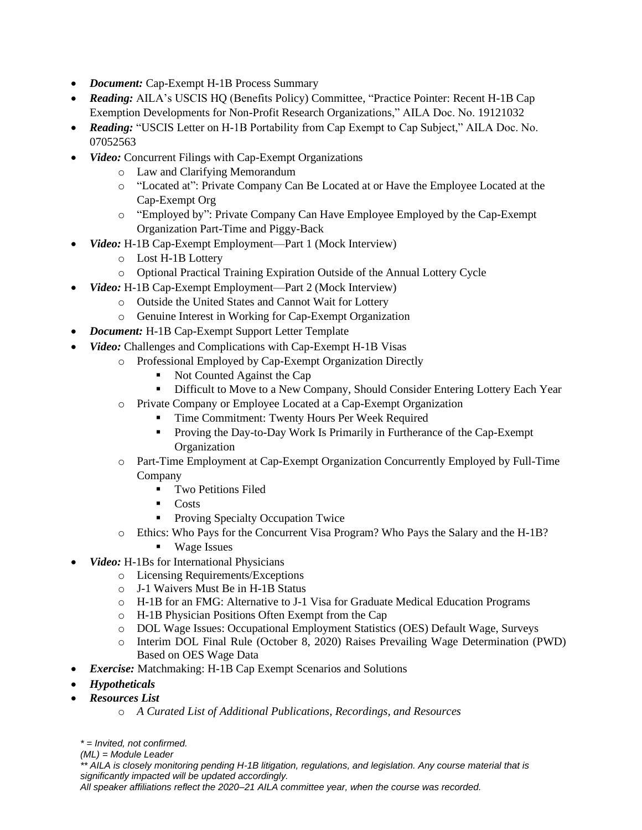- *Document:* Cap-Exempt H-1B Process Summary
- *Reading:* AILA's USCIS HQ (Benefits Policy) Committee, "Practice Pointer: Recent H-1B Cap Exemption Developments for Non-Profit Research Organizations," AILA Doc. No. 19121032
- **Reading:** "USCIS Letter on H-1B Portability from Cap Exempt to Cap Subject," AILA Doc. No. 07052563
- *Video:* Concurrent Filings with Cap-Exempt Organizations
	- o Law and Clarifying Memorandum
	- o "Located at": Private Company Can Be Located at or Have the Employee Located at the Cap-Exempt Org
	- o "Employed by": Private Company Can Have Employee Employed by the Cap-Exempt Organization Part-Time and Piggy-Back
- *Video:* H-1B Cap-Exempt Employment—Part 1 (Mock Interview)
	- o Lost H-1B Lottery
	- o Optional Practical Training Expiration Outside of the Annual Lottery Cycle
- *Video:* H-1B Cap-Exempt Employment—Part 2 (Mock Interview)
	- o Outside the United States and Cannot Wait for Lottery
	- o Genuine Interest in Working for Cap-Exempt Organization
- *Document:* H-1B Cap-Exempt Support Letter Template
- *Video:* Challenges and Complications with Cap-Exempt H-1B Visas
	- o Professional Employed by Cap-Exempt Organization Directly
		- Not Counted Against the Cap
		- **EXECUTE:** Difficult to Move to a New Company, Should Consider Entering Lottery Each Year
	- o Private Company or Employee Located at a Cap-Exempt Organization
		- Time Commitment: Twenty Hours Per Week Required
		- **•** Proving the Day-to-Day Work Is Primarily in Furtherance of the Cap-Exempt **Organization**
	- o Part-Time Employment at Cap-Exempt Organization Concurrently Employed by Full-Time Company
		- **•** Two Petitions Filed
		- Costs
		- Proving Specialty Occupation Twice
	- o Ethics: Who Pays for the Concurrent Visa Program? Who Pays the Salary and the H-1B?
		- Wage Issues
- *Video:* H-1Bs for International Physicians
	- o Licensing Requirements/Exceptions
	- o J-1 Waivers Must Be in H-1B Status
	- o H-1B for an FMG: Alternative to J-1 Visa for Graduate Medical Education Programs
	- o H-1B Physician Positions Often Exempt from the Cap
	- o DOL Wage Issues: Occupational Employment Statistics (OES) Default Wage, Surveys
	- o Interim DOL Final Rule (October 8, 2020) Raises Prevailing Wage Determination (PWD) Based on OES Wage Data
- *Exercise:* Matchmaking: H-1B Cap Exempt Scenarios and Solutions
- *Hypotheticals*
- *Resources List*
	- o *A Curated List of Additional Publications, Recordings, and Resources*

```
* = Invited, not confirmed.
```

```
(ML) = Module Leader
```
*\*\* AILA is closely monitoring pending H-1B litigation, regulations, and legislation. Any course material that is significantly impacted will be updated accordingly.*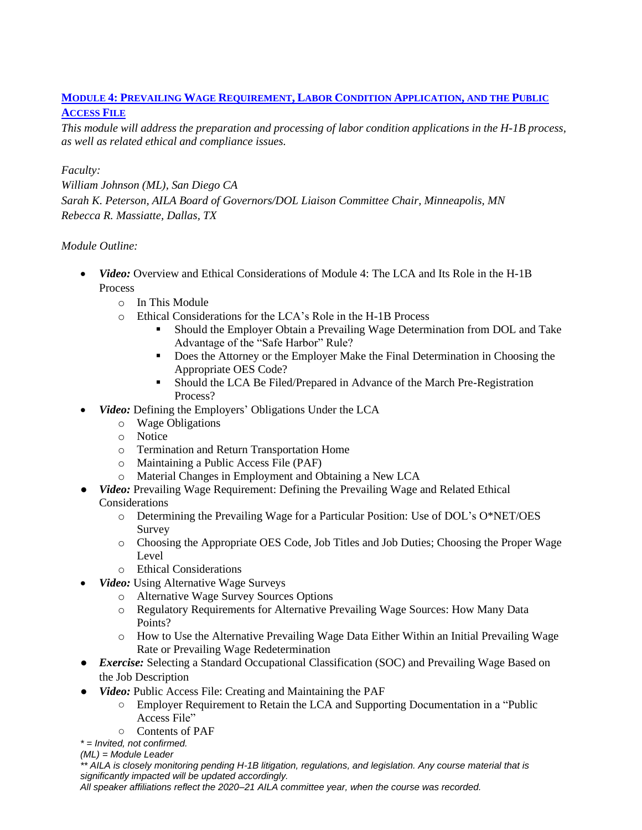## **MODULE 4: PREVAILING WAGE REQUIREMENT, LABOR CONDITION APPLICATION, AND THE PUBLIC**

### **ACCESS FILE**

*This module will address the preparation and processing of labor condition applications in the H-1B process, as well as related ethical and compliance issues.*

### *Faculty:*

*William Johnson (ML), San Diego CA Sarah K. Peterson, AILA Board of Governors/DOL Liaison Committee Chair, Minneapolis, MN Rebecca R. Massiatte, Dallas, TX*

### *Module Outline:*

- *Video:* Overview and Ethical Considerations of Module 4: The LCA and Its Role in the H-1B Process
	- o In This Module
	- o Ethical Considerations for the LCA's Role in the H-1B Process
		- **•** Should the Employer Obtain a Prevailing Wage Determination from DOL and Take Advantage of the "Safe Harbor" Rule?
		- **Does the Attorney or the Employer Make the Final Determination in Choosing the** Appropriate OES Code?
		- **•** Should the LCA Be Filed/Prepared in Advance of the March Pre-Registration Process?
- *Video:* Defining the Employers' Obligations Under the LCA
	- o Wage Obligations
	- o Notice
	- o Termination and Return Transportation Home
	- o Maintaining a Public Access File (PAF)
	- o Material Changes in Employment and Obtaining a New LCA
- *Video:* Prevailing Wage Requirement: Defining the Prevailing Wage and Related Ethical Considerations
	- o Determining the Prevailing Wage for a Particular Position: Use of DOL's O\*NET/OES Survey
	- o Choosing the Appropriate OES Code, Job Titles and Job Duties; Choosing the Proper Wage Level
	- o Ethical Considerations
	- *Video:* Using Alternative Wage Surveys
		- o Alternative Wage Survey Sources Options
		- o Regulatory Requirements for Alternative Prevailing Wage Sources: How Many Data Points?
		- o How to Use the Alternative Prevailing Wage Data Either Within an Initial Prevailing Wage Rate or Prevailing Wage Redetermination
- *Exercise:* Selecting a Standard Occupational Classification (SOC) and Prevailing Wage Based on the Job Description
- *Video:* Public Access File: Creating and Maintaining the PAF
	- Employer Requirement to Retain the LCA and Supporting Documentation in a "Public Access File"
	- Contents of PAF
- *\* = Invited, not confirmed.*

*(ML) = Module Leader*

*\*\* AILA is closely monitoring pending H-1B litigation, regulations, and legislation. Any course material that is significantly impacted will be updated accordingly.*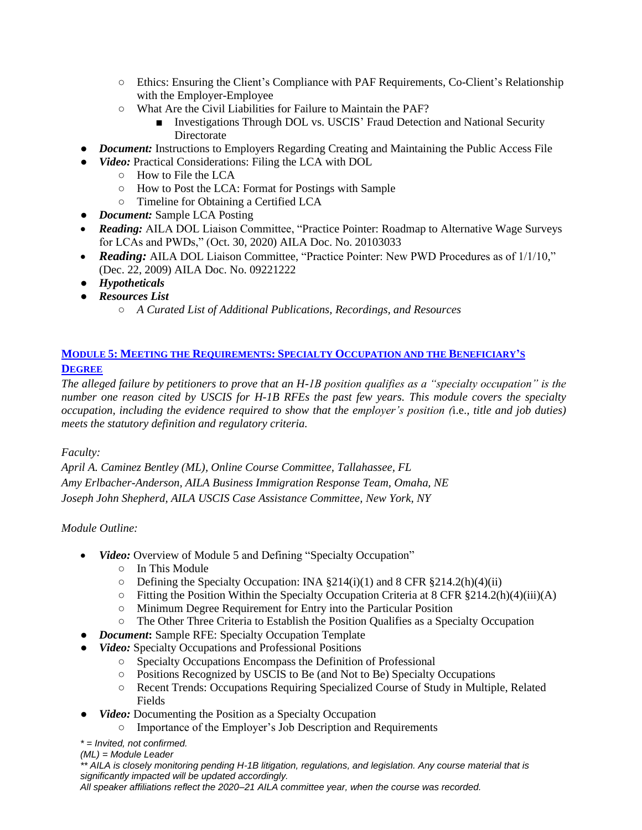- Ethics: Ensuring the Client's Compliance with PAF Requirements, Co-Client's Relationship with the Employer-Employee
- What Are the Civil Liabilities for Failure to Maintain the PAF?
	- Investigations Through DOL vs. USCIS' Fraud Detection and National Security **Directorate**
- *Document:* Instructions to Employers Regarding Creating and Maintaining the Public Access File
- *Video:* Practical Considerations: Filing the LCA with DOL
	- How to File the LCA
	- How to Post the LCA: Format for Postings with Sample
	- Timeline for Obtaining a Certified LCA
- *Document:* Sample LCA Posting
- *Reading:* AILA DOL Liaison Committee, "Practice Pointer: Roadmap to Alternative Wage Surveys for LCAs and PWDs," (Oct. 30, 2020) AILA Doc. No. 20103033
- **Reading:** AILA DOL Liaison Committee, "Practice Pointer: New PWD Procedures as of  $1/1/10$ ," (Dec. 22, 2009) AILA Doc. No. 09221222
- *Hypotheticals*
- *Resources List*
	- *A Curated List of Additional Publications, Recordings, and Resources*

### **MODULE 5: MEETING THE REQUIREMENTS: SPECIALTY OCCUPATION AND THE BENEFICIARY'S DEGREE**

*The alleged failure by petitioners to prove that an H-1B position qualifies as a "specialty occupation" is the number one reason cited by USCIS for H-1B RFEs the past few years. This module covers the specialty occupation, including the evidence required to show that the employer's position (*i.e.*, title and job duties) meets the statutory definition and regulatory criteria.*

### *Faculty:*

*April A. Caminez Bentley (ML), Online Course Committee, Tallahassee, FL Amy Erlbacher-Anderson, AILA Business Immigration Response Team, Omaha, NE Joseph John Shepherd, AILA USCIS Case Assistance Committee, New York, NY*

### *Module Outline:*

- *Video:* Overview of Module 5 and Defining "Specialty Occupation"
	- In This Module
	- Defining the Specialty Occupation: INA §214(i)(1) and 8 CFR §214.2(h)(4)(ii)
	- $\circ$  Fitting the Position Within the Specialty Occupation Criteria at 8 CFR §214.2(h)(4)(iii)(A)
	- Minimum Degree Requirement for Entry into the Particular Position
	- The Other Three Criteria to Establish the Position Qualifies as a Specialty Occupation
- *Document***:** Sample RFE: Specialty Occupation Template
- *Video:* Specialty Occupations and Professional Positions
	- Specialty Occupations Encompass the Definition of Professional
	- Positions Recognized by USCIS to Be (and Not to Be) Specialty Occupations
	- Recent Trends: Occupations Requiring Specialized Course of Study in Multiple, Related Fields
- *Video:* Documenting the Position as a Specialty Occupation
	- Importance of the Employer's Job Description and Requirements
- *\* = Invited, not confirmed.*
- *(ML) = Module Leader*

*\*\* AILA is closely monitoring pending H-1B litigation, regulations, and legislation. Any course material that is significantly impacted will be updated accordingly.*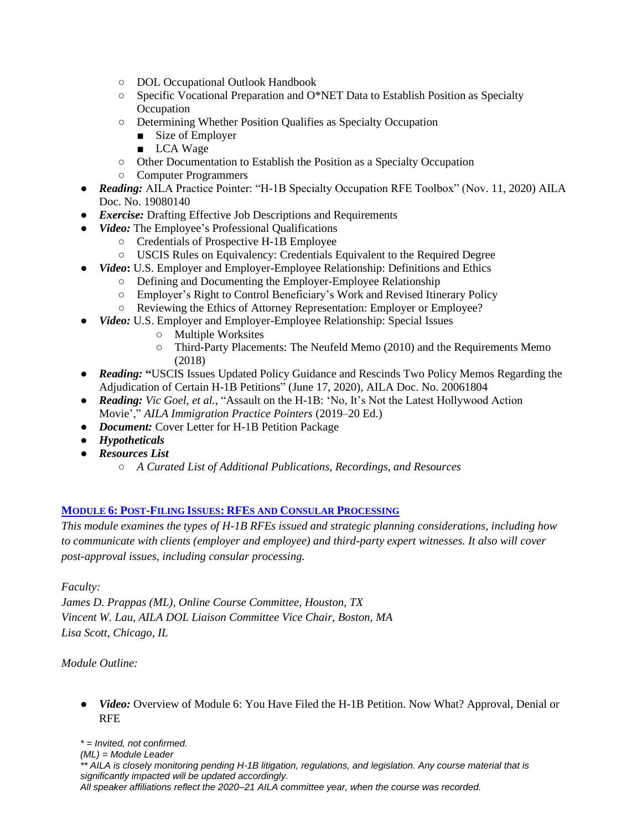- DOL Occupational Outlook Handbook
- Specific Vocational Preparation and O\*NET Data to Establish Position as Specialty **Occupation**
- Determining Whether Position Qualifies as Specialty Occupation
	- Size of Employer
	- LCA Wage
- Other Documentation to Establish the Position as a Specialty Occupation
- Computer Programmers
- *Reading:* AILA Practice Pointer: "H-1B Specialty Occupation RFE Toolbox" (Nov. 11, 2020) AILA Doc. No. 19080140
- *Exercise:* Drafting Effective Job Descriptions and Requirements
- *Video:* The Employee's Professional Qualifications
	- Credentials of Prospective H-1B Employee
	- USCIS Rules on Equivalency: Credentials Equivalent to the Required Degree
- *Video***:** U.S. Employer and Employer-Employee Relationship: Definitions and Ethics
	- Defining and Documenting the Employer-Employee Relationship
	- Employer's Right to Control Beneficiary's Work and Revised Itinerary Policy
	- Reviewing the Ethics of Attorney Representation: Employer or Employee?
- *Video:* U.S. Employer and Employer-Employee Relationship: Special Issues
	- Multiple Worksites
	- Third-Party Placements: The Neufeld Memo (2010) and the Requirements Memo (2018)
- *Reading:* **"**USCIS Issues Updated Policy Guidance and Rescinds Two Policy Memos Regarding the Adjudication of Certain H-1B Petitions" (June 17, 2020), AILA Doc. No. 20061804
- *Reading: Vic Goel, et al.,* "Assault on the H-1B: 'No, It's Not the Latest Hollywood Action Movie'," *AILA Immigration Practice Pointers* (2019–20 Ed.)
- *Document:* Cover Letter for H-1B Petition Package
- *Hypotheticals*
- *Resources List*
	- *A Curated List of Additional Publications, Recordings, and Resources*

#### **MODULE 6: POST-FILING ISSUES: RFES AND CONSULAR PROCESSING**

*This module examines the types of H-1B RFEs issued and strategic planning considerations, including how to communicate with clients (employer and employee) and third-party expert witnesses. It also will cover post-approval issues, including consular processing.*

*Faculty:*

*James D. Prappas (ML), Online Course Committee, Houston, TX Vincent W. Lau, AILA DOL Liaison Committee Vice Chair, Boston, MA Lisa Scott, Chicago, IL*

*Module Outline:*

• *Video:* Overview of Module 6: You Have Filed the H-1B Petition. Now What? Approval, Denial or RFE

*\* = Invited, not confirmed. (ML) = Module Leader \*\* AILA is closely monitoring pending H-1B litigation, regulations, and legislation. Any course material that is significantly impacted will be updated accordingly. All speaker affiliations reflect the 2020–21 AILA committee year, when the course was recorded.*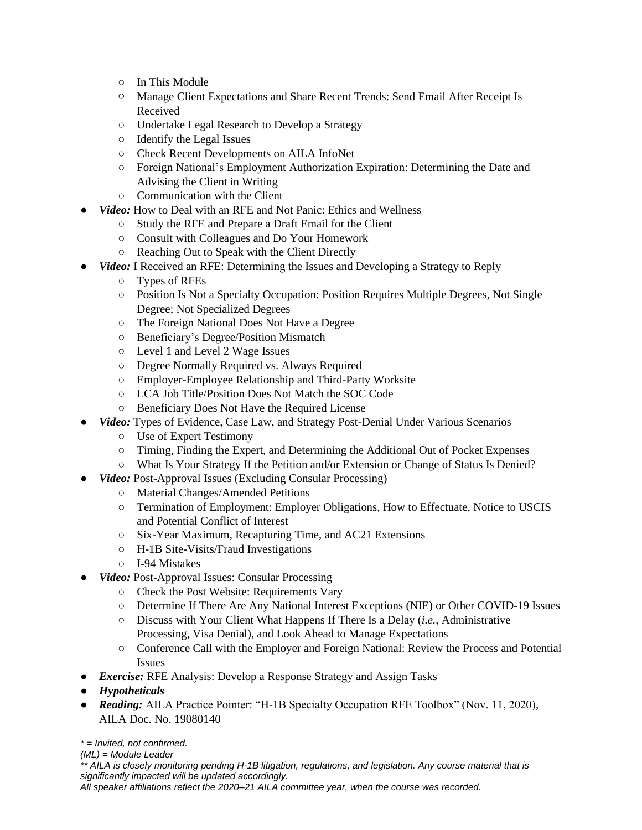- In This Module
- Manage Client Expectations and Share Recent Trends: Send Email After Receipt Is Received
- Undertake Legal Research to Develop a Strategy
- Identify the Legal Issues
- Check Recent Developments on AILA InfoNet
- Foreign National's Employment Authorization Expiration: Determining the Date and Advising the Client in Writing
- Communication with the Client
- *Video:* How to Deal with an RFE and Not Panic: Ethics and Wellness
	- Study the RFE and Prepare a Draft Email for the Client
	- Consult with Colleagues and Do Your Homework
	- Reaching Out to Speak with the Client Directly
- *Video:* I Received an RFE: Determining the Issues and Developing a Strategy to Reply
	- Types of RFEs
	- Position Is Not a Specialty Occupation: Position Requires Multiple Degrees, Not Single Degree; Not Specialized Degrees
	- The Foreign National Does Not Have a Degree
	- Beneficiary's Degree/Position Mismatch
	- Level 1 and Level 2 Wage Issues
	- Degree Normally Required vs. Always Required
	- Employer-Employee Relationship and Third-Party Worksite
	- LCA Job Title/Position Does Not Match the SOC Code
	- Beneficiary Does Not Have the Required License
- *Video:* Types of Evidence, Case Law, and Strategy Post-Denial Under Various Scenarios
	- Use of Expert Testimony
	- Timing, Finding the Expert, and Determining the Additional Out of Pocket Expenses
	- What Is Your Strategy If the Petition and/or Extension or Change of Status Is Denied?
- *Video:* Post-Approval Issues (Excluding Consular Processing)
	- Material Changes/Amended Petitions
		- Termination of Employment: Employer Obligations, How to Effectuate, Notice to USCIS and Potential Conflict of Interest
		- Six-Year Maximum, Recapturing Time, and AC21 Extensions
		- H-1B Site-Visits/Fraud Investigations
		- I-94 Mistakes
- *Video:* Post-Approval Issues: Consular Processing
	- Check the Post Website: Requirements Vary
	- Determine If There Are Any National Interest Exceptions (NIE) or Other COVID-19 Issues
	- Discuss with Your Client What Happens If There Is a Delay (*i.e.*, Administrative Processing, Visa Denial), and Look Ahead to Manage Expectations
	- Conference Call with the Employer and Foreign National: Review the Process and Potential Issues
- *Exercise:* RFE Analysis: Develop a Response Strategy and Assign Tasks
- *Hypotheticals*
- *Reading:* AILA Practice Pointer: "H-1B Specialty Occupation RFE Toolbox" (Nov. 11, 2020), AILA Doc. No. 19080140

*\* = Invited, not confirmed.*

*(ML) = Module Leader*

*\*\* AILA is closely monitoring pending H-1B litigation, regulations, and legislation. Any course material that is significantly impacted will be updated accordingly.*